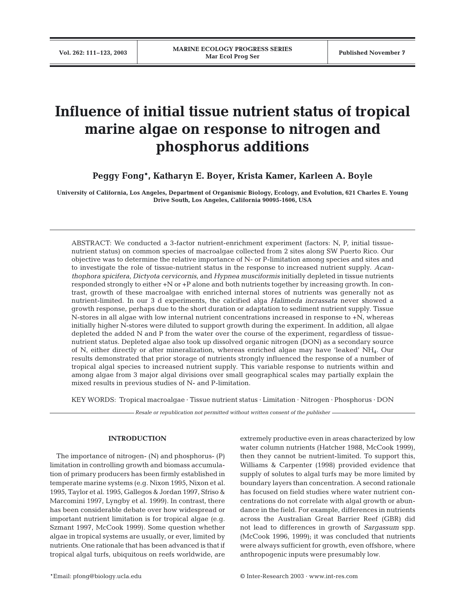# **Influence of initial tissue nutrient status of tropical marine algae on response to nitrogen and phosphorus additions**

**Peggy Fong\*, Katharyn E. Boyer, Krista Kamer, Karleen A. Boyle**

**University of California, Los Angeles, Department of Organismic Biology, Ecology, and Evolution, 621 Charles E. Young Drive South, Los Angeles, California 90095-1606, USA**

ABSTRACT: We conducted a 3-factor nutrient-enrichment experiment (factors: N, P, initial tissuenutrient status) on common species of macroalgae collected from 2 sites along SW Puerto Rico. Our objective was to determine the relative importance of N- or P-limitation among species and sites and to investigate the role of tissue-nutrient status in the response to increased nutrient supply. *Acanthophora spicifera*, *Dictyota cervicornis*, and *Hypnea musciformis* initially depleted in tissue nutrients responded strongly to either +N or +P alone and both nutrients together by increasing growth. In contrast, growth of these macroalgae with enriched internal stores of nutrients was generally not as nutrient-limited. In our 3 d experiments, the calcified alga *Halimeda incrassata* never showed a growth response, perhaps due to the short duration or adaptation to sediment nutrient supply. Tissue N-stores in all algae with low internal nutrient concentrations increased in response to +N, whereas initially higher N-stores were diluted to support growth during the experiment. In addition, all algae depleted the added N and P from the water over the course of the experiment, regardless of tissuenutrient status. Depleted algae also took up dissolved organic nitrogen (DON) as a secondary source of N, either directly or after mineralization, whereas enriched algae may have 'leaked' NH4. Our results demonstrated that prior storage of nutrients strongly influenced the response of a number of tropical algal species to increased nutrient supply. This variable response to nutrients within and among algae from 3 major algal divisions over small geographical scales may partially explain the mixed results in previous studies of N- and P-limitation.

KEY WORDS: Tropical macroalgae · Tissue nutrient status · Limitation · Nitrogen · Phosphorus · DON

*Resale or republication not permitted without written consent of the publisher*

# **INTRODUCTION**

The importance of nitrogen- (N) and phosphorus- (P) limitation in controlling growth and biomass accumulation of primary producers has been firmly established in temperate marine systems (e.g. Nixon 1995, Nixon et al. 1995, Taylor et al. 1995, Gallegos & Jordan 1997, Sfriso & Marcomini 1997, Lyngby et al. 1999). In contrast, there has been considerable debate over how widespread or important nutrient limitation is for tropical algae (e.g. Szmant 1997, McCook 1999). Some question whether algae in tropical systems are usually, or ever, limited by nutrients. One rationale that has been advanced is that if tropical algal turfs, ubiquitous on reefs worldwide, are extremely productive even in areas characterized by low water column nutrients (Hatcher 1988, McCook 1999), then they cannot be nutrient-limited. To support this, Williams & Carpenter (1998) provided evidence that supply of solutes to algal turfs may be more limited by boundary layers than concentration. A second rationale has focused on field studies where water nutrient concentrations do not correlate with algal growth or abundance in the field. For example, differences in nutrients across the Australian Great Barrier Reef (GBR) did not lead to differences in growth of *Sargassum* spp. (McCook 1996, 1999); it was concluded that nutrients were always sufficient for growth, even offshore, where anthropogenic inputs were presumably low.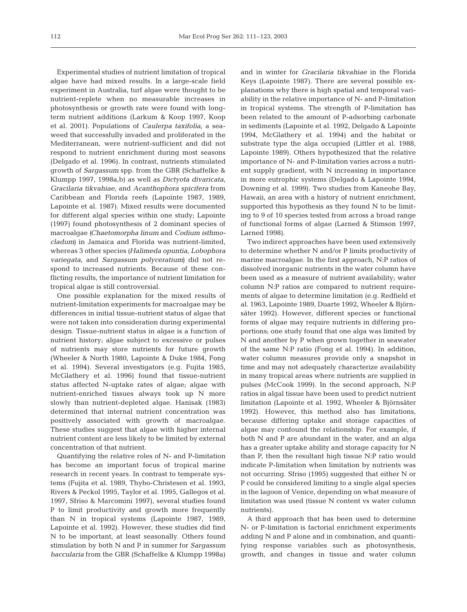Experimental studies of nutrient limitation of tropical algae have had mixed results. In a large-scale field experiment in Australia, turf algae were thought to be nutrient-replete when no measurable increases in photosynthesis or growth rate were found with longterm nutrient additions (Larkum & Koop 1997, Koop et al. 2001). Populations of *Caulerpa taxifolia*, a seaweed that successfully invaded and proliferated in the Mediterranean, were nutrient-sufficient and did not respond to nutrient enrichment during most seasons (Delgado et al. 1996). In contrast, nutrients stimulated growth of *Sargassum* spp. from the GBR (Schaffelke & Klumpp 1997, 1998a,b) as well as *Dictyota divaricata, Gracilaria tikvahiae*, and *Acanthophora spicifera* from Caribbean and Florida reefs (Lapointe 1987, 1989, Lapointe et al. 1987). Mixed results were documented for different algal species within one study; Lapointe (1997) found photosynthesis of 2 dominant species of macroalgae *(Chaetomorpha linum* and *Codium isthmocladum)* in Jamaica and Florida was nutrient-limited, whereas 3 other species *(Halimeda opuntia*, *Lobophora variegata*, and *Sargassum polyceratium)* did not respond to increased nutrients. Because of these conflicting results, the importance of nutrient limitation for tropical algae is still controversial.

One possible explanation for the mixed results of nutrient-limitation experiments for macroalgae may be differences in initial tissue-nutrient status of algae that were not taken into consideration during experimental design. Tissue-nutrient status in algae is a function of nutrient history; algae subject to excessive or pulses of nutrients may store nutrients for future growth (Wheeler & North 1980, Lapointe & Duke 1984, Fong et al. 1994). Several investigators (e.g. Fujita 1985, McGlathery et al. 1996) found that tissue-nutrient status affected N-uptake rates of algae; algae with nutrient-enriched tissues always took up N more slowly than nutrient-depleted algae. Hanisak (1983) determined that internal nutrient concentration was positively associated with growth of macroalgae. These studies suggest that algae with higher internal nutrient content are less likely to be limited by external concentration of that nutrient.

Quantifying the relative roles of N- and P-limitation has become an important focus of tropical marine research in recent years. In contrast to temperate systems (Fujita et al. 1989, Thybo-Christesen et al. 1993, Rivers & Peckol 1995, Taylor et al. 1995, Gallegos et al. 1997, Sfriso & Marcomini 1997), several studies found P to limit productivity and growth more frequently than N in tropical systems (Lapointe 1987, 1989, Lapointe et al. 1992). However, these studies did find N to be important, at least seasonally. Others found stimulation by both N and P in summer for *Sargassum baccularia* from the GBR (Schaffelke & Klumpp 1998a)

and in winter for *Gracilaria tikvahiae* in the Florida Keys (Lapointe 1987). There are several possible explanations why there is high spatial and temporal variability in the relative importance of N- and P-limitation in tropical systems. The strength of P-limitation has been related to the amount of P-adsorbing carbonate in sediments (Lapointe et al. 1992, Delgado & Lapointe 1994, McGlathery et al. 1994) and the habitat or substrate type the alga occupied (Littler et al. 1988, Lapointe 1989). Others hypothesized that the relative importance of N- and P-limitation varies across a nutrient supply gradient, with N increasing in importance in more eutrophic systems (Delgado & Lapointe 1994, Downing et al. 1999). Two studies from Kaneohe Bay, Hawaii, an area with a history of nutrient enrichment, supported this hypothesis as they found N to be limiting to 9 of 10 species tested from across a broad range of functional forms of algae (Larned & Stimson 1997, Larned 1998).

Two indirect approaches have been used extensively to determine whether N and/or P limits productivity of marine macroalgae. In the first approach, N:P ratios of dissolved inorganic nutrients in the water column have been used as a measure of nutrient availability; water column N:P ratios are compared to nutrient requirements of algae to determine limitation (e.g. Redfield et al. 1963, Lapointe 1989, Duarte 1992, Wheeler & Björnsäter 1992). However, different species or functional forms of algae may require nutrients in differing proportions; one study found that one alga was limited by N and another by P when grown together in seawater of the same N:P ratio (Fong et al. 1994). In addition, water column measures provide only a snapshot in time and may not adequately characterize availability in many tropical areas where nutrients are supplied in pulses (McCook 1999). In the second approach, N:P ratios in algal tissue have been used to predict nutrient limitation (Lapointe et al. 1992, Wheeler & Björnsäter 1992). However, this method also has limitations, because differing uptake and storage capacities of algae may confound the relationship. For example, if both N and P are abundant in the water, and an alga has a greater uptake ability and storage capacity for N than P, then the resultant high tissue N:P ratio would indicate P-limitation when limitation by nutrients was not occurring. Sfriso (1995) suggested that either N or P could be considered limiting to a single algal species in the lagoon of Venice, depending on what measure of limitation was used (tissue N content vs water column nutrients).

A third approach that has been used to determine N- or P-limitation is factorial enrichment experiments adding N and P alone and in combination, and quantifying response variables such as photosynthesis, growth, and changes in tissue and water column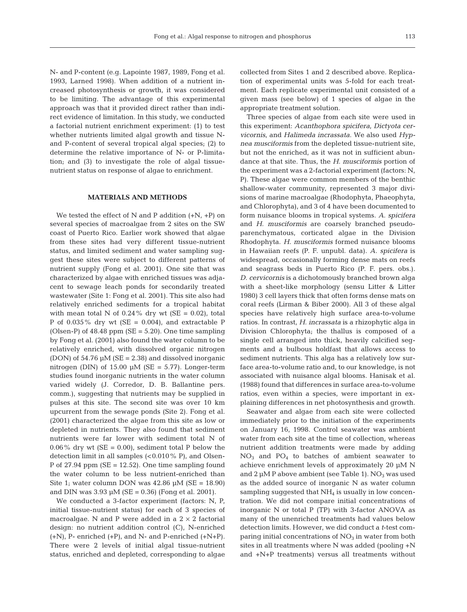N- and P-content (e.g. Lapointe 1987, 1989, Fong et al. 1993, Larned 1998). When addition of a nutrient increased photosynthesis or growth, it was considered to be limiting. The advantage of this experimental approach was that it provided direct rather than indirect evidence of limitation. In this study, we conducted a factorial nutrient enrichment experiment: (1) to test whether nutrients limited algal growth and tissue Nand P-content of several tropical algal species; (2) to determine the relative importance of N- or P-limitation; and (3) to investigate the role of algal tissuenutrient status on response of algae to enrichment.

# **MATERIALS AND METHODS**

We tested the effect of N and P addition  $(+N, +P)$  on several species of macroalgae from 2 sites on the SW coast of Puerto Rico. Earlier work showed that algae from these sites had very different tissue-nutrient status, and limited sediment and water sampling suggest these sites were subject to different patterns of nutrient supply (Fong et al. 2001). One site that was characterized by algae with enriched tissues was adjacent to sewage leach ponds for secondarily treated wastewater (Site 1: Fong et al. 2001). This site also had relatively enriched sediments for a tropical habitat with mean total N of  $0.24\%$  dry wt (SE = 0.02), total P of  $0.035\%$  dry wt (SE = 0.004), and extractable P (Olsen-P) of  $48.48$  ppm (SE = 5.20). One time sampling by Fong et al. (2001) also found the water column to be relatively enriched, with dissolved organic nitrogen (DON) of  $54.76 \mu M$  (SE = 2.38) and dissolved inorganic nitrogen (DIN) of  $15.00 \mu M$  (SE = 5.77). Longer-term studies found inorganic nutrients in the water column varied widely (J. Corredor, D. B. Ballantine pers. comm.), suggesting that nutrients may be supplied in pulses at this site. The second site was over 10 km upcurrent from the sewage ponds (Site 2). Fong et al. (2001) characterized the algae from this site as low or depleted in nutrients. They also found that sediment nutrients were far lower with sediment total N of  $0.06\%$  dry wt (SE = 0.00), sediment total P below the detection limit in all samples (<0.010% P), and Olsen-P of  $27.94$  ppm (SE = 12.52). One time sampling found the water column to be less nutrient-enriched than Site 1; water column DON was  $42.86 \mu M$  (SE = 18.90) and DIN was  $3.93 \mu M$  (SE = 0.36) (Fong et al. 2001).

We conducted a 3-factor experiment (factors: N, P, initial tissue-nutrient status) for each of 3 species of macroalgae. N and P were added in a  $2 \times 2$  factorial design: no nutrient addition control (C), N-enriched  $(+N)$ , P- enriched  $(+P)$ , and N- and P-enriched  $(+N+P)$ . There were 2 levels of initial algal tissue-nutrient status, enriched and depleted, corresponding to algae

collected from Sites 1 and 2 described above. Replication of experimental units was 5-fold for each treatment. Each replicate experimental unit consisted of a given mass (see below) of 1 species of algae in the appropriate treatment solution.

Three species of algae from each site were used in this experiment: *Acanthophora spicifera*, *Dictyota cervicornis*, and *Halimeda incrassata*. We also used *Hypnea musciformis* from the depleted tissue-nutrient site, but not the enriched, as it was not in sufficient abundance at that site. Thus, the *H. musciformis* portion of the experiment was a 2-factorial experiment (factors: N, P). These algae were common members of the benthic shallow-water community, represented 3 major divisions of marine macroalgae (Rhodophyta, Phaeophyta, and Chlorophyta), and 3 of 4 have been documented to form nuisance blooms in tropical systems. *A. spicifera* and *H. musciformis* are coarsely branched pseudoparenchymatous, corticated algae in the Division Rhodophyta. *H. musciformis* formed nuisance blooms in Hawaiian reefs (P. F. unpubl. data). *A. spicifera* is widespread, occasionally forming dense mats on reefs and seagrass beds in Puerto Rico (P. F. pers. obs.). *D. cervicornis* is a dichotomously branched brown alga with a sheet-like morphology (sensu Litter & Litter 1980) 3 cell layers thick that often forms dense mats on coral reefs (Lirman & Biber 2000). All 3 of these algal species have relatively high surface area-to-volume ratios. In contrast, *H. incrassata* is a rhizophytic alga in Division Chlorophyta; the thallus is composed of a single cell arranged into thick, heavily calcified segments and a bulbous holdfast that allows access to sediment nutrients. This alga has a relatively low surface area-to-volume ratio and, to our knowledge, is not associated with nuisance algal blooms. Hanisak et al. (1988) found that differences in surface area-to-volume ratios, even within a species, were important in explaining differences in net photosynthesis and growth.

Seawater and algae from each site were collected immediately prior to the initiation of the experiments on January 16, 1998. Control seawater was ambient water from each site at the time of collection, whereas nutrient addition treatments were made by adding  $NO<sub>3</sub>$  and  $PO<sub>4</sub>$  to batches of ambient seawater to achieve enrichment levels of approximately 20 µM N and  $2 \mu M$  P above ambient (see Table 1). NO<sub>3</sub> was used as the added source of inorganic N as water column sampling suggested that  $NH<sub>4</sub>$  is usually in low concentration. We did not compare initial concentrations of inorganic N or total P (TP) with 3-factor ANOVA as many of the unenriched treatments had values below detection limits. However, we did conduct a *t*-test comparing initial concentrations of  $NO<sub>3</sub>$  in water from both sites in all treatments where N was added (pooling +N and +N+P treatments) versus all treatments without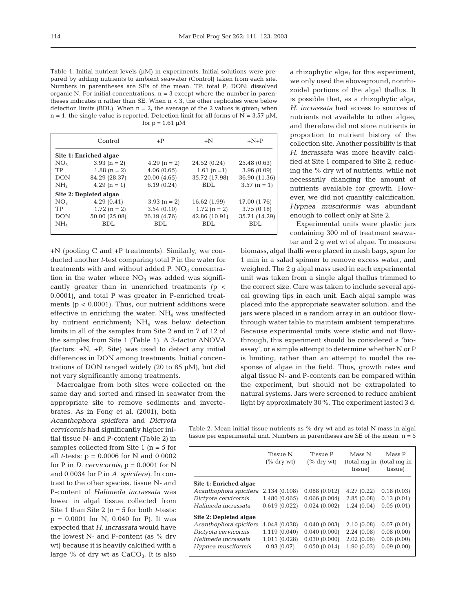Table 1. Initial nutrient levels  $(\mu M)$  in experiments. Initial solutions were prepared by adding nutrients to ambient seawater (Control) taken from each site. Numbers in parentheses are SEs of the mean. TP: total P; DON: dissolved organic N. For initial concentrations,  $n = 3$  except where the number in parentheses indicates n rather than SE. When n < 3, the other replicates were below detection limits (BDL). When  $n = 2$ , the average of the 2 values is given; when  $n = 1$ , the single value is reported. Detection limit for all forms of  $N = 3.57 \mu M$ , for  $p = 1.61 \mu M$ 

|                        | Control        | $+P$          | $+N$          | $+N+P$        |  |  |
|------------------------|----------------|---------------|---------------|---------------|--|--|
| Site 1: Enriched algae |                |               |               |               |  |  |
| NO <sub>3</sub>        | $3.93(n = 2)$  | $4.29(n = 2)$ | 24.52 (0.24)  | 25.48 (0.63)  |  |  |
| TP                     | $1.88$ (n = 2) | 4.06(0.65)    | $1.61 (n=1)$  | 3.96(0.09)    |  |  |
| <b>DON</b>             | 84.29 (28.37)  | 20.00(4.65)   | 35.72 (17.98) | 36.90 (11.36) |  |  |
| $NH_4$                 | $4.29(n = 1)$  | 6.19(0.24)    | <b>BDL</b>    | $3.57(n = 1)$ |  |  |
| Site 2: Depleted algae |                |               |               |               |  |  |
| NO <sub>3</sub>        | 4.29(0.41)     | $3.93(n = 2)$ | 16.62 (1.99)  | 17.00 (1.76)  |  |  |
| TP                     | $1.72(n = 2)$  | 3.54(0.10)    | $1.72(n = 2)$ | 3.75(0.18)    |  |  |
| <b>DON</b>             | 50.00 (25.08)  | 26.19 (4.76)  | 42.86 (10.91) | 35.71 (14.29) |  |  |
| NH <sub>4</sub>        | <b>BDL</b>     | <b>BDL</b>    | <b>BDL</b>    | <b>BDL</b>    |  |  |
|                        |                |               |               |               |  |  |

+N (pooling C and +P treatments). Similarly, we conducted another *t*-test comparing total P in the water for treatments with and without added P.  $NO<sub>3</sub>$  concentration in the water where  $NO<sub>3</sub>$  was added was significantly greater than in unenriched treatments  $(p \lt p)$ 0.0001), and total P was greater in P-enriched treatments ( $p < 0.0001$ ). Thus, our nutrient additions were effective in enriching the water.  $NH<sub>4</sub>$  was unaffected by nutrient enrichment; NH4 was below detection limits in all of the samples from Site 2 and in 7 of 12 of the samples from Site 1 (Table 1). A 3-factor ANOVA (factors:  $+N$ ,  $+P$ , Site) was used to detect any initial differences in DON among treatments. Initial concentrations of DON ranged widely (20 to 85 µM), but did not vary significantly among treatments.

Macroalgae from both sites were collected on the same day and sorted and rinsed in seawater from the appropriate site to remove sediments and inverte-

brates. As in Fong et al. (2001), both *Acanthophora spicifera* and *Dictyota cervicornis* had significantly higher initial tissue N- and P-content (Table 2) in samples collected from Site  $1$  (n = 5 for all *t*-tests: p = 0.0006 for N and 0.0002 for P in *D. cervicornis*;  $p = 0.0001$  for N and 0.0034 for P in *A. spicifera*). In contrast to the other species, tissue N- and P-content of *Halimeda incrassata* was lower in algal tissue collected from Site 1 than Site 2 (n = 5 for both *t*-tests:  $p = 0.0001$  for N; 0.040 for P). It was expected that *H. incrassata* would have the lowest N- and P-content (as % dry wt) because it is heavily calcified with a large  $%$  of dry wt as  $CaCO<sub>3</sub>$ . It is also a rhizophytic alga; for this experiment. we only used the aboveground, nonrhizoidal portions of the algal thallus. It is possible that, as a rhizophytic alga, *H. incrassata* had access to sources of nutrients not available to other algae, and therefore did not store nutrients in proportion to nutrient history of the collection site. Another possibility is that *H. incrassata* was more heavily calcified at Site 1 compared to Site 2, reducing the % dry wt of nutrients, while not necessarily changing the amount of nutrients available for growth. However, we did not quantify calcification. *Hypnea musciformis* was abundant enough to collect only at Site 2.

Experimental units were plastic jars containing 300 ml of treatment seawater and 2 g wet wt of algae. To measure

biomass, algal thalli were placed in mesh bags, spun for 1 min in a salad spinner to remove excess water, and weighed. The 2 g algal mass used in each experimental unit was taken from a single algal thallus trimmed to the correct size. Care was taken to include several apical growing tips in each unit. Each algal sample was placed into the appropriate seawater solution, and the jars were placed in a random array in an outdoor flowthrough water table to maintain ambient temperature. Because experimental units were static and not flowthrough, this experiment should be considered a 'bioassay', or a simple attempt to determine whether N or P is limiting, rather than an attempt to model the response of algae in the field. Thus, growth rates and algal tissue N- and P-contents can be compared within the experiment, but should not be extrapolated to natural systems. Jars were screened to reduce ambient light by approximately 30%. The experiment lasted 3 d.

Table 2. Mean initial tissue nutrients as % dry wt and as total N mass in algal tissue per experimental unit. Numbers in parentheses are SE of the mean,  $n = 5$ 

|                        | <b>Tissue N</b><br>$(\%$ dry wt) | <b>Tissue P</b><br>$(\%$ dry wt) | Mass N<br>(total mg in<br>tissue) | Mass P<br>(total mg in<br>tissue) |
|------------------------|----------------------------------|----------------------------------|-----------------------------------|-----------------------------------|
| Site 1: Enriched algae |                                  |                                  |                                   |                                   |
| Acanthophora spicifera | 2.134 (0.108)                    | 0.088(0.012)                     | 4.27(0.22)                        | 0.18(0.03)                        |
| Dictyota cervicornis   | 1.480 (0.065)                    | 0.066(0.004)                     | 2.85(0.08)                        | 0.13(0.01)                        |
| Halimeda incrassata    | 0.619(0.022)                     | 0.024(0.002)                     | 1.24(0.04)                        | 0.05(0.01)                        |
| Site 2: Depleted algae |                                  |                                  |                                   |                                   |
| Acanthophora spicifera | 1.048 (0.038)                    | 0.040(0.003)                     | 2.10(0.08)                        | 0.07(0.01)                        |
| Dictyota cervicornis   | 1.119 (0.040)                    | 0.040(0.000)                     | 2.24(0.08)                        | 0.08(0.00)                        |
| Halimeda incrassata    | 1.011 (0.028)                    | 0.030(0.000)                     | 2.02(0.06)                        | 0.06(0.00)                        |
| Hypnea musciformis     | 0.93(0.07)                       | 0.050(0.014)                     | 1.90(0.03)                        | 0.09(0.00)                        |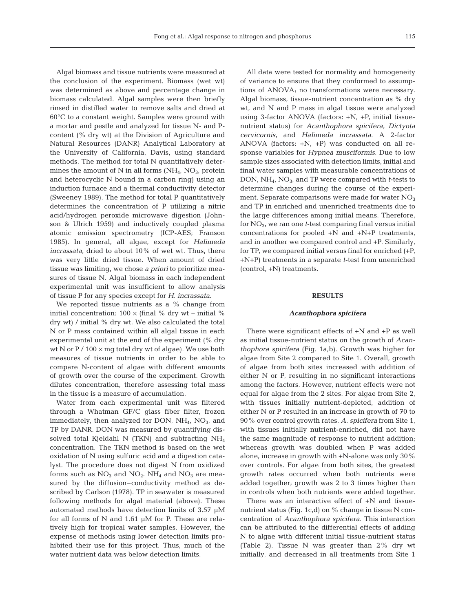Algal biomass and tissue nutrients were measured at the conclusion of the experiment. Biomass (wet wt) was determined as above and percentage change in biomass calculated. Algal samples were then briefly rinsed in distilled water to remove salts and dried at 60°C to a constant weight. Samples were ground with a mortar and pestle and analyzed for tissue N- and Pcontent (% dry wt) at the Division of Agriculture and Natural Resources (DANR) Analytical Laboratory at the University of California, Davis, using standard methods. The method for total N quantitatively determines the amount of N in all forms  $(NH<sub>4</sub>, NO<sub>3</sub>, protein)$ and heterocyclic N bound in a carbon ring) using an induction furnace and a thermal conductivity detector (Sweeney 1989). The method for total P quantitatively determines the concentration of P utilizing a nitric acid/hydrogen peroxide microwave digestion (Johnson & Ulrich 1959) and inductively coupled plasma atomic emission spectrometry (ICP-AES; Franson 1985). In general, all algae, except for *Halimeda incrassata*, dried to about 10% of wet wt. Thus, there was very little dried tissue. When amount of dried tissue was limiting, we chose *a priori* to prioritize measures of tissue N. Algal biomass in each independent experimental unit was insufficient to allow analysis of tissue P for any species except for *H. incrassata*.

We reported tissue nutrients as a % change from initial concentration:  $100 \times ($ final % dry wt – initial % dry wt) / initial % dry wt. We also calculated the total N or P mass contained within all algal tissue in each experimental unit at the end of the experiment (% dry wt N or  $P / 100 \times mg$  total dry wt of algae). We use both measures of tissue nutrients in order to be able to compare N-content of algae with different amounts of growth over the course of the experiment. Growth dilutes concentration, therefore assessing total mass in the tissue is a measure of accumulation.

Water from each experimental unit was filtered through a Whatman GF/C glass fiber filter, frozen immediately, then analyzed for DON,  $NH<sub>4</sub>$ , NO<sub>3</sub>, and TP by DANR. DON was measured by quantifying dissolved total Kjeldahl N (TKN) and subtracting  $NH<sub>4</sub>$ concentration. The TKN method is based on the wet oxidation of N using sulfuric acid and a digestion catalyst. The procedure does not digest N from oxidized forms such as  $NO_3$  and  $NO_2$ .  $NH_4$  and  $NO_3$  are measured by the diffusion–conductivity method as described by Carlson (1978). TP in seawater is measured following methods for algal material (above). These automated methods have detection limits of 3.57 µM for all forms of N and 1.61 µM for P. These are relatively high for tropical water samples. However, the expense of methods using lower detection limits prohibited their use for this project. Thus, much of the water nutrient data was below detection limits.

All data were tested for normality and homogeneity of variance to ensure that they conformed to assumptions of ANOVA; no transformations were necessary. Algal biomass, tissue-nutrient concentration as % dry wt, and N and P mass in algal tissue were analyzed using 3-factor ANOVA (factors: +N, +P, initial tissuenutrient status) for *Acanthophora spicifera*, *Dictyota cervicornis*, and *Halimeda incrassata*. A 2-factor ANOVA (factors: +N, +P) was conducted on all response variables for *Hypnea musciformis*. Due to low sample sizes associated with detection limits, initial and final water samples with measurable concentrations of DON, NH4, NO3, and TP were compared with *t*-tests to determine changes during the course of the experiment. Separate comparisons were made for water  $NO<sub>3</sub>$ and TP in enriched and unenriched treatments due to the large differences among initial means. Therefore, for  $NO<sub>3</sub>$ , we ran one *t*-test comparing final versus initial concentrations for pooled +N and +N+P treatments, and in another we compared control and +P. Similarly, for TP, we compared initial versus final for enriched (+P, +N+P) treatments in a separate *t*-test from unenriched (control, +N) treatments.

## **RESULTS**

#### *Acanthophora spicifera*

There were significant effects of +N and +P as well as initial tissue-nutrient status on the growth of *Acanthophora spicifera* (Fig. 1a,b). Growth was higher for algae from Site 2 compared to Site 1. Overall, growth of algae from both sites increased with addition of either N or P, resulting in no significant interactions among the factors. However, nutrient effects were not equal for algae from the 2 sites. For algae from Site 2, with tissues initially nutrient-depleted, addition of either N or P resulted in an increase in growth of 70 to 90% over control growth rates. *A. spicifera* from Site 1, with tissues initially nutrient-enriched, did not have the same magnitude of response to nutrient addition; whereas growth was doubled when P was added alone, increase in growth with +N-alone was only 30% over controls. For algae from both sites, the greatest growth rates occurred when both nutrients were added together; growth was 2 to 3 times higher than in controls when both nutrients were added together.

There was an interactive effect of +N and tissuenutrient status (Fig. 1c,d) on % change in tissue N concentration of *Acanthophora spicifera*. This interaction can be attributed to the differential effects of adding N to algae with different initial tissue-nutrient status (Table 2). Tissue N was greater than 2% dry wt initially, and decreased in all treatments from Site 1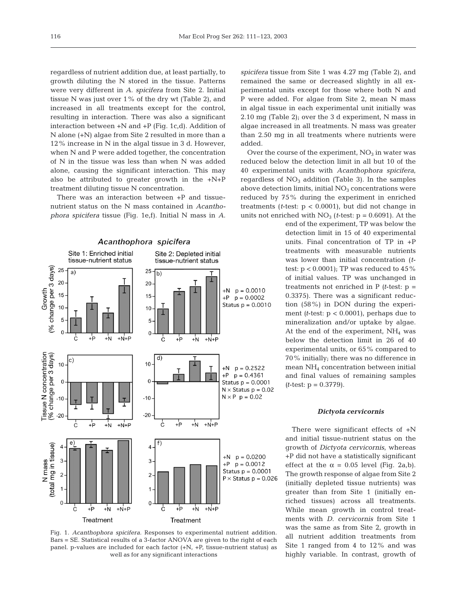regardless of nutrient addition due, at least partially, to growth diluting the N stored in the tissue. Patterns were very different in *A. spicifera* from Site 2. Initial tissue N was just over 1% of the dry wt (Table 2), and increased in all treatments except for the control, resulting in interaction. There was also a significant interaction between +N and +P (Fig. 1c,d). Addition of N alone (+N) algae from Site 2 resulted in more than a 12% increase in N in the algal tissue in 3 d. However, when N and P were added together, the concentration of N in the tissue was less than when N was added alone, causing the significant interaction. This may also be attributed to greater growth in the  $+N+P$ treatment diluting tissue N concentration.

There was an interaction between +P and tissuenutrient status on the N mass contained in *Acanthophora spicifera* tissue (Fig. 1e,f). Initial N mass in *A.*





*spicifera* tissue from Site 1 was 4.27 mg (Table 2), and remained the same or decreased slightly in all experimental units except for those where both N and P were added. For algae from Site 2, mean N mass in algal tissue in each experimental unit initially was 2.10 mg (Table 2); over the 3 d experiment, N mass in algae increased in all treatments. N mass was greater than 2.50 mg in all treatments where nutrients were added.

Over the course of the experiment,  $NO<sub>3</sub>$  in water was reduced below the detection limit in all but 10 of the 40 experimental units with *Acanthophora spicifera*, regardless of  $NO<sub>3</sub>$  addition (Table 3). In the samples above detection limits, initial  $NO<sub>3</sub>$  concentrations were reduced by 75% during the experiment in enriched treatments ( $t$ -test:  $p < 0.0001$ ), but did not change in units not enriched with  $NO<sub>3</sub>$  (*t*-test:  $p = 0.6091$ ). At the

> end of the experiment, TP was below the detection limit in 15 of 40 experimental units. Final concentration of TP in +P treatments with measurable nutrients was lower than initial concentration (*t*test:  $p < 0.0001$ ); TP was reduced to  $45\%$ of initial values. TP was unchanged in treatments not enriched in  $P$  (*t*-test:  $p =$ 0.3375). There was a significant reduction (58%) in DON during the experiment  $(t$ -test:  $p < 0.0001$ ), perhaps due to mineralization and/or uptake by algae. At the end of the experiment,  $NH<sub>4</sub>$  was below the detection limit in 26 of 40 experimental units, or 65% compared to 70% initially; there was no difference in mean NH4 concentration between initial and final values of remaining samples *(t*-test: p = 0.3779).

#### *Dictyota cervicornis*

There were significant effects of +N and initial tissue-nutrient status on the growth of *Dictyota cervicornis*, whereas +P did not have a statistically significant effect at the  $\alpha = 0.05$  level (Fig. 2a,b). The growth response of algae from Site 2 (initially depleted tissue nutrients) was greater than from Site 1 (initially enriched tissues) across all treatments. While mean growth in control treatments with *D. cervicornis* from Site 1 was the same as from Site 2, growth in all nutrient addition treatments from Site 1 ranged from 4 to 12% and was highly variable. In contrast, growth of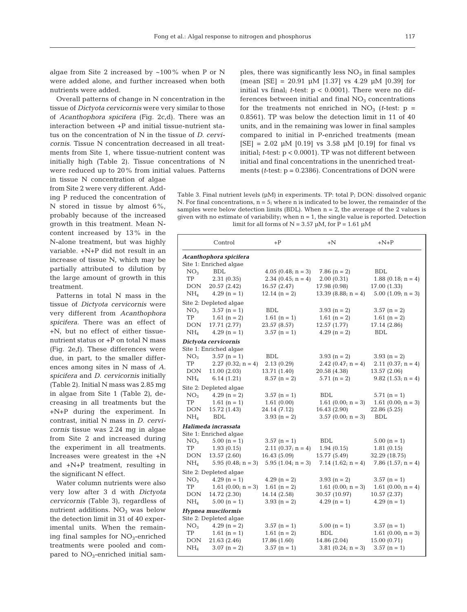algae from Site 2 increased by  $\sim 100\%$  when P or N were added alone, and further increased when both nutrients were added.

Overall patterns of change in N concentration in the tissue of *Dictyota cervicornis* were very similar to those of *Acanthophora spicifera* (Fig. 2c,d). There was an interaction between +P and initial tissue-nutrient status on the concentration of N in the tissue of *D. cervicornis*. Tissue N concentration decreased in all treatments from Site 1, where tissue-nutrient content was initially high (Table 2). Tissue concentrations of N were reduced up to 20% from initial values. Patterns

in tissue N concentration of algae from Site 2 were very different. Adding P reduced the concentration of N stored in tissue by almost  $6\%$ , probably because of the increased growth in this treatment. Mean Ncontent increased by 13% in the N-alone treatment, but was highly variable. +N+P did not result in an increase of tissue N, which may be partially attributed to dilution by the large amount of growth in this treatment.

Patterns in total N mass in the tissue of *Dictyota cervicornis* were very different from *Acanthophora spicifera*. There was an effect of +N, but no effect of either tissuenutrient status or +P on total N mass (Fig. 2e,f). These differences were due, in part, to the smaller differences among sites in N mass of *A. spicifera* and *D. cervicornis* initially (Table 2). Initial N mass was 2.85 mg in algae from Site 1 (Table 2), decreasing in all treatments but the +N+P during the experiment. In contrast, initial N mass in *D. cervicornis* tissue was 2.24 mg in algae from Site 2 and increased during the experiment in all treatments. Increases were greatest in the +N and +N+P treatment, resulting in the significant N effect.

Water column nutrients were also very low after 3 d with *Dictyota cervicornis* (Table 3), regardless of nutrient additions.  $NO<sub>3</sub>$  was below the detection limit in 31 of 40 experimental units. When the remaining final samples for  $NO<sub>3</sub>$ -enriched treatments were pooled and compared to  $NO<sub>3</sub>$ -enriched initial sam-

ples, there was significantly less  $NO<sub>3</sub>$  in final samples (mean  $[SE] = 20.91 \mu M$  [1.37] vs 4.29  $\mu$ M [0.39] for initial vs final; *t*-test: p < 0.0001). There were no differences between initial and final  $NO<sub>3</sub>$  concentrations for the treatments not enriched in  $NO_3$  (*t*-test:  $p =$ 0.8561). TP was below the detection limit in 11 of 40 units, and in the remaining was lower in final samples compared to initial in P-enriched treatments (mean  $[SE] = 2.02 \mu M [0.19]$  vs 3.58  $\mu M [0.19]$  for final vs initial; *t*-test: p < 0.0001). TP was not different between initial and final concentrations in the unenriched treatments (*t*-test: p = 0.2386). Concentrations of DON were

Table 3. Final nutrient levels  $(\mu M)$  in experiments. TP: total P<sub>i</sub> DON: dissolved organic N. For final concentrations,  $n = 5$ ; where n is indicated to be lower, the remainder of the samples were below detection limits (BDL). When  $n = 2$ , the average of the 2 values is given with no estimate of variability; when  $n = 1$ , the single value is reported. Detection limit for all forms of  $N = 3.57 \mu M$ , for  $P = 1.61 \mu M$ 

|                        | Control                | $+P$                 | $+N$                  | $+N+P$                 |  |  |  |  |
|------------------------|------------------------|----------------------|-----------------------|------------------------|--|--|--|--|
| Acanthophora spicifera |                        |                      |                       |                        |  |  |  |  |
|                        | Site 1: Enriched algae |                      |                       |                        |  |  |  |  |
| NO <sub>3</sub>        | <b>BDL</b>             | $4.05$ (0.48; n = 3) | $7.86$ (n = 2)        | BDL                    |  |  |  |  |
| <b>TP</b>              | 2.31(0.35)             | 2.34 $(0.45; n = 4)$ | 2.00(0.31)            | $1.88$ (0.18; n = 4)   |  |  |  |  |
| <b>DON</b>             | 20.57 (2.42)           | 16.57 (2.47)         | 17.98 (0.98)          | 17.00 (1.33)           |  |  |  |  |
| NH <sub>4</sub>        | $4.29 (n = 1)$         | 12.14 $(n = 2)$      | $13.39$ (8.88; n = 4) | $5.00$ $(1.09; n = 3)$ |  |  |  |  |
|                        | Site 2: Depleted algae |                      |                       |                        |  |  |  |  |
| NO <sub>3</sub>        | $3.57 (n = 1)$         | <b>BDL</b>           | $3.93 (n = 2)$        | $3.57(n = 2)$          |  |  |  |  |
| TP                     | 1.61 $(n = 2)$         | $1.61 (n = 1)$       | $1.61 (n = 2)$        | 1.61 $(n = 2)$         |  |  |  |  |
| DON                    | 17.71 (2.77)           | 23.57 (8.57)         | 12.57 (1.77)          | 17.14 (2.86)           |  |  |  |  |
| NH <sub>4</sub>        | $4.29(n = 1)$          | $3.57$ (n = 1)       | $4.29(n = 2)$         | BDL                    |  |  |  |  |
|                        | Dictyota cervicornis   |                      |                       |                        |  |  |  |  |
|                        | Site 1: Enriched algae |                      |                       |                        |  |  |  |  |
| NO <sub>3</sub>        | $3.57$ (n = 1)         | <b>BDL</b>           | $3.93$ (n = 2)        | $3.93 (n = 2)$         |  |  |  |  |
| TP                     | $2.27(0.32; n = 4)$    | 2.13 (0.29)          | 2.42 $(0.47; n = 4)$  | $2.11(0.37; n = 4)$    |  |  |  |  |
| <b>DON</b>             | 11.00(2.03)            | 13.71 (1.40)         | 20.58 (4.38)          | 13.57 (2.06)           |  |  |  |  |
| NH <sub>4</sub>        | 6.14(1.21)             | $8.57$ (n = 2)       | 5.71 $(n = 2)$        | $9.82$ (1.53; n = 4)   |  |  |  |  |
|                        | Site 2: Depleted algae |                      |                       |                        |  |  |  |  |
| NO <sub>3</sub>        | $4.29 (n = 2)$         | $3.57$ (n = 1)       | <b>BDL</b>            | $5.71(n = 1)$          |  |  |  |  |
| <b>TP</b>              | 1.61 $(n = 1)$         | 1.61(0.00)           | $1.61$ (0.00; n = 3)  | $1.61$ (0.00; n = 3)   |  |  |  |  |
| <b>DON</b>             | 15.72 (1.43)           | 24.14 (7.12)         | 16.43 (2.90)          | 22.86 (5.25)           |  |  |  |  |
| NH <sub>4</sub>        | <b>BDL</b>             | $3.93$ (n = 2)       | $3.57$ (0.00; n = 3)  | BDL                    |  |  |  |  |
|                        | Halimeda incrassata    |                      |                       |                        |  |  |  |  |
|                        | Site 1: Enriched algae |                      |                       |                        |  |  |  |  |
| NO <sub>3</sub>        | $5.00 (n = 1)$         | $3.57$ (n = 1)       | <b>BDL</b>            | $5.00(n = 1)$          |  |  |  |  |
| TP                     | 1.93(0.15)             | $2.11(0.37; n = 4)$  | 1.94(0.15)            | 1.81(0.15)             |  |  |  |  |
| <b>DON</b>             | 13.57 (2.60)           | 16.43 (5.09)         | 15.77 (5.49)          | 32.29 (18.75)          |  |  |  |  |
| NH <sub>4</sub>        | $5.95(0.48; n = 3)$    | $5.95(1.04; n = 3)$  | 7.14 $(1.62; n = 4)$  | 7.86 $(1.57; n = 4)$   |  |  |  |  |
| Site 2: Depleted algae |                        |                      |                       |                        |  |  |  |  |
| NO <sub>3</sub>        | $4.29(n = 1)$          | $4.29 (n = 2)$       | $3.93$ (n = 2)        | $3.57$ (n = 1)         |  |  |  |  |
| TP                     | $1.61$ (0.00; n = 3)   | 1.61 $(n = 2)$       | $1.61$ (0.00; n = 3)  | $1.61$ (0.00; n = 4)   |  |  |  |  |
| <b>DON</b>             | 14.72 (2.30)           | 14.14 (2.58)         | 30.57 (10.97)         | 10.57 (2.37)           |  |  |  |  |
| NH <sub>4</sub>        | $5.00(n = 1)$          | $3.93$ (n = 2)       | $4.29(n = 1)$         | $4.29(n = 1)$          |  |  |  |  |
|                        | Hypnea musciformis     |                      |                       |                        |  |  |  |  |
|                        | Site 2: Depleted algae |                      |                       |                        |  |  |  |  |
| NO <sub>3</sub>        | $4.29(n=2)$            | $3.57$ (n = 1)       | $5.00(n = 1)$         | $3.57$ (n = 1)         |  |  |  |  |
| TP                     | 1.61 $(n = 1)$         | 1.61 ( $n = 2$ )     | <b>BDL</b>            | $1.61$ (0.00; n = 3)   |  |  |  |  |
| <b>DON</b>             | 21.63 (2.46)           | 17.86 (1.60)         | 14.86 (2.04)          | 15.00 (0.71)           |  |  |  |  |
| NH <sub>4</sub>        | $3.07$ (n = 2)         | $3.57$ (n = 1)       | $3.81$ (0.24; n = 3)  | $3.57$ (n = 1)         |  |  |  |  |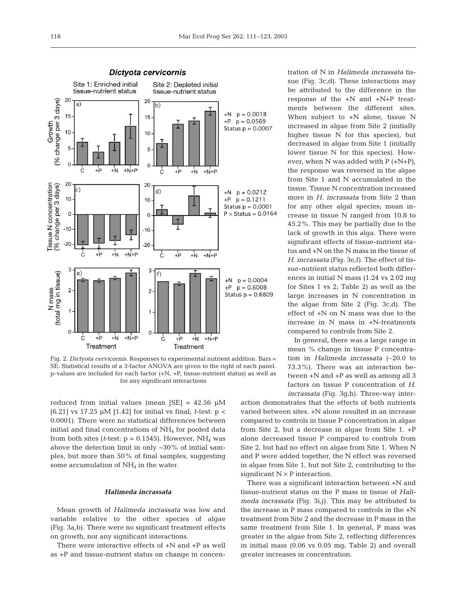

Fig. 2. *Dictyota cervicornis.* Responses to experimental nutrient addition. Bars = SE. Statistical results of a 3-factor ANOVA are given to the right of each panel. p-values are included for each factor (+N, +P, tissue-nutrient status) as well as for any significant interactions

reduced from initial values (mean  $[SE] = 42.56 \mu M$ [6.21] vs 17.25 µM [1.42] for initial vs final; *t*-test: p < 0.0001). There were no statistical differences between initial and final concentrations of  $NH<sub>4</sub>$  for pooled data from both sites ( $t$ -test:  $p = 0.1545$ ). However, NH<sub>4</sub> was above the detection limit in only  $\sim$ 30% of initial samples, but more than 50% of final samples, suggesting some accumulation of  $NH<sub>4</sub>$  in the water.

## *Halimeda incrassata*

Mean growth of *Halimeda incrassata* was low and variable relative to the other species of algae (Fig. 3a,b). There were no significant treatment effects on growth, nor any significant interactions.

There were interactive effects of +N and +P as well as +P and tissue-nutrient status on change in concentration of N in *Halimeda incrassata* tissue (Fig. 3c,d). These interactions may be attributed to the difference in the response of the +N and +N+P treatments between the different sites. When subject to +N alone, tissue N increased in algae from Site 2 (initially higher tissue N for this species), but decreased in algae from Site 1 (initially lower tissue N for this species). However, when N was added with P (+N+P), the response was reversed in the algae from Site 1 and N accumulated in the tissue. Tissue N concentration increased more in *H. incrassata* from Site 2 than for any other algal species; mean increase in tissue N ranged from 10.8 to 45.2%. This may be partially due to the lack of growth in this alga. There were significant effects of tissue-nutrient status and +N on the N mass in the tissue of *H. incrassata* (Fig. 3e,f). The effect of tissue-nutrient status reflected both differences in initial N mass (1.24 vs 2.02 mg for Sites 1 vs 2; Table 2) as well as the large increases in N concentration in the algae from Site 2 (Fig. 3c,d). The effect of +N on N mass was due to the increase in N mass in +N-treatments compared to controls from Site 2.

In general, there was a large range in mean % change in tissue P concentration in *Halimeda incrassata* (–20.0 to 73.3%). There was an interaction between +N and +P as well as among all 3 factors on tissue P concentration of *H. incrassata* (Fig. 3g,h). Three-way inter-

action demonstrates that the effects of both nutrients varied between sites. +N alone resulted in an increase compared to controls in tissue P concentration in algae from Site 2, but a decrease in algae from Site 1. +P alone decreased tissue P compared to controls from Site 2, but had no effect on algae from Site 1. When N and P were added together, the N effect was reversed in algae from Site 1, but not Site 2, contributing to the significant  $N \times P$  interaction.

There was a significant interaction between +N and tissue-nutrient status on the P mass in tissue of *Halimeda incrassata* (Fig. 3i,j). This may be attributed to the increase in P mass compared to controls in the +N treatment from Site 2 and the decrease in P mass in the same treatment from Site 1. In general, P mass was greater in the algae from Site 2, reflecting differences in initial mass (0.06 vs 0.05 mg; Table 2) and overall greater increases in concentration.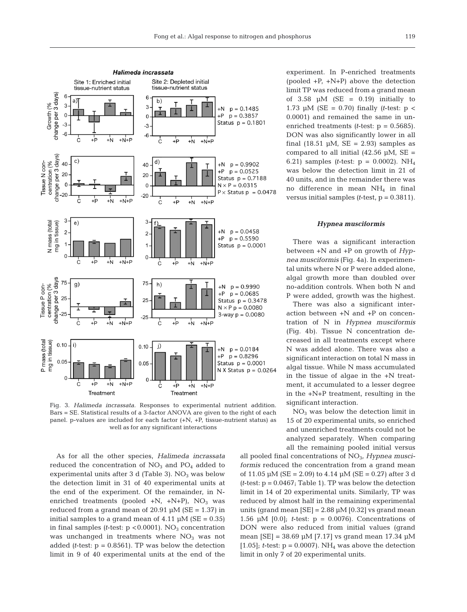

Fig. 3. *Halimeda incrassata.* Responses to experimental nutrient addition. Bars = SE. Statistical results of a 3-factor ANOVA are given to the right of each panel. p-values are included for each factor (+N, +P, tissue-nutrient status) as well as for any significant interactions

As for all the other species, *Halimeda incrassata* reduced the concentration of  $NO<sub>3</sub>$  and  $PO<sub>4</sub>$  added to experimental units after 3 d (Table 3).  $NO<sub>3</sub>$  was below the detection limit in 31 of 40 experimental units at the end of the experiment. Of the remainder, in Nenriched treatments (pooled  $+N$ ,  $+N+P$ ),  $NO<sub>3</sub>$  was reduced from a grand mean of 20.91  $\mu$ M (SE = 1.37) in initial samples to a grand mean of  $4.11 \mu M$  (SE = 0.35) in final samples  $(t$ -test:  $p < 0.0001$ ). NO<sub>3</sub> concentration was unchanged in treatments where  $NO<sub>3</sub>$  was not added *(t*-test: p = 0.8561). TP was below the detection limit in 9 of 40 experimental units at the end of the

experiment. In P-enriched treatments (pooled  $+P$ ,  $+N+P$ ) above the detection limit TP was reduced from a grand mean of  $3.58$  µM (SE = 0.19) initially to 1.73  $\mu$ M (SE = 0.70) finally *(t*-test:  $p <$ 0.0001) and remained the same in unenriched treatments *(t*-test: p = 0.5685). DON was also significantly lower in all final (18.51  $\mu$ M, SE = 2.93) samples as compared to all initial  $(42.56 \mu M, SE =$ 6.21) samples *(t*-test: p = 0.0002). NH4 was below the detection limit in 21 of 40 units, and in the remainder there was no difference in mean  $NH<sub>4</sub>$  in final versus initial samples *(t*-test, p = 0.3811).

#### *Hypnea musciformis*

There was a significant interaction between +N and +P on growth of *Hypnea musciformis* (Fig. 4a). In experimental units where N or P were added alone, algal growth more than doubled over no-addition controls. When both N and P were added, growth was the highest.

There was also a significant interaction between +N and +P on concentration of N in *Hypnea musciformis* (Fig. 4b). Tissue N concentration decreased in all treatments except where N was added alone. There was also a significant interaction on total N mass in algal tissue. While N mass accumulated in the tissue of algae in the +N treatment, it accumulated to a lesser degree in the +N+P treatment, resulting in the significant interaction.

 $NO<sub>3</sub>$  was below the detection limit in 15 of 20 experimental units, so enriched and unenriched treatments could not be analyzed separately. When comparing all the remaining pooled initial versus

all pooled final concentrations of NO<sub>3</sub>, *Hypnea musciformis* reduced the concentration from a grand mean of 11.05  $\mu$ M (SE = 2.09) to 4.14  $\mu$ M (SE = 0.27) after 3 d  $(t$ -test:  $p = 0.0467$ ; Table 1). TP was below the detection limit in 14 of 20 experimental units. Similarly, TP was reduced by almost half in the remaining experimental units (grand mean  $[SE] = 2.88 \mu M [0.32]$  vs grand mean 1.56  $\mu$ M [0.0]; *t*-test:  $p = 0.0076$ ). Concentrations of DON were also reduced from initial values (grand mean [SE] =  $38.69 \mu M$  [7.17] vs grand mean 17.34  $\mu$ M [1.05]; *t*-test:  $p = 0.0007$ ). NH<sub>4</sub> was above the detection limit in only 7 of 20 experimental units.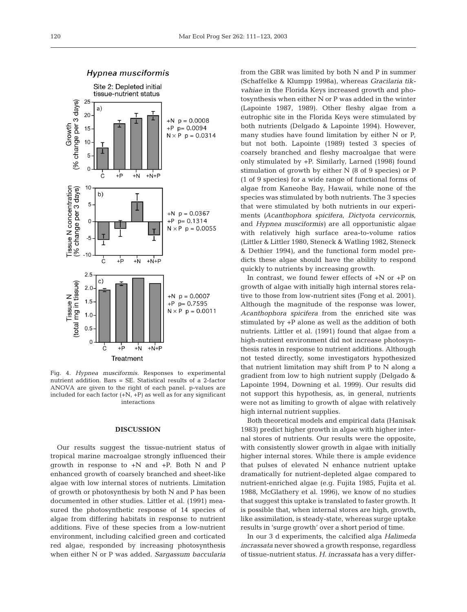

Fig. 4. *Hypnea musciformis.* Responses to experimental nutrient addition. Bars = SE. Statistical results of a 2-factor ANOVA are given to the right of each panel. p-values are included for each factor  $(+N, +P)$  as well as for any significant interactions

### **DISCUSSION**

Our results suggest the tissue-nutrient status of tropical marine macroalgae strongly influenced their growth in response to +N and +P. Both N and P enhanced growth of coarsely branched and sheet-like algae with low internal stores of nutrients. Limitation of growth or photosynthesis by both N and P has been documented in other studies. Littler et al. (1991) measured the photosynthetic response of 14 species of algae from differing habitats in response to nutrient additions. Five of these species from a low-nutrient environment, including calcified green and corticated red algae, responded by increasing photosynthesis when either N or P was added. *Sargassum baccularia* from the GBR was limited by both N and P in summer (Schaffelke & Klumpp 1998a), whereas *Gracilaria tikvahiae* in the Florida Keys increased growth and photosynthesis when either N or P was added in the winter (Lapointe 1987, 1989). Other fleshy algae from a eutrophic site in the Florida Keys were stimulated by both nutrients (Delgado & Lapointe 1994). However, many studies have found limitation by either N or P, but not both. Lapointe (1989) tested 3 species of coarsely branched and fleshy macroalgae that were only stimulated by +P. Similarly, Larned (1998) found stimulation of growth by either N (8 of 9 species) or P (1 of 9 species) for a wide range of functional forms of algae from Kaneohe Bay, Hawaii, while none of the species was stimulated by both nutrients. The 3 species that were stimulated by both nutrients in our experiments *(Acanthophora spicifera*, *Dictyota cervicornis*, and *Hypnea musciformis)* are all opportunistic algae with relatively high surface area-to-volume ratios (Littler & Littler 1980, Steneck & Watling 1982, Steneck & Dethier 1994), and the functional form model predicts these algae should have the ability to respond quickly to nutrients by increasing growth.

In contrast, we found fewer effects of +N or +P on growth of algae with initially high internal stores relative to those from low-nutrient sites (Fong et al. 2001). Although the magnitude of the response was lower, *Acanthophora spicifera* from the enriched site was stimulated by +P alone as well as the addition of both nutrients. Littler et al. (1991) found that algae from a high-nutrient environment did not increase photosynthesis rates in response to nutrient additions. Although not tested directly, some investigators hypothesized that nutrient limitation may shift from P to N along a gradient from low to high nutrient supply (Delgado & Lapointe 1994, Downing et al. 1999). Our results did not support this hypothesis, as, in general, nutrients were not as limiting to growth of algae with relatively high internal nutrient supplies.

Both theoretical models and empirical data (Hanisak 1983) predict higher growth in algae with higher internal stores of nutrients. Our results were the opposite, with consistently slower growth in algae with initially higher internal stores. While there is ample evidence that pulses of elevated N enhance nutrient uptake dramatically for nutrient-depleted algae compared to nutrient-enriched algae (e.g. Fujita 1985, Fujita et al. 1988, McGlathery et al. 1996), we know of no studies that suggest this uptake is translated to faster growth. It is possible that, when internal stores are high, growth, like assimilation, is steady-state, whereas surge uptake results in 'surge growth' over a short period of time.

In our 3 d experiments, the calcified alga *Halimeda incrassata* never showed a growth response, regardless of tissue-nutrient status. *H. incrassata* has a very differ-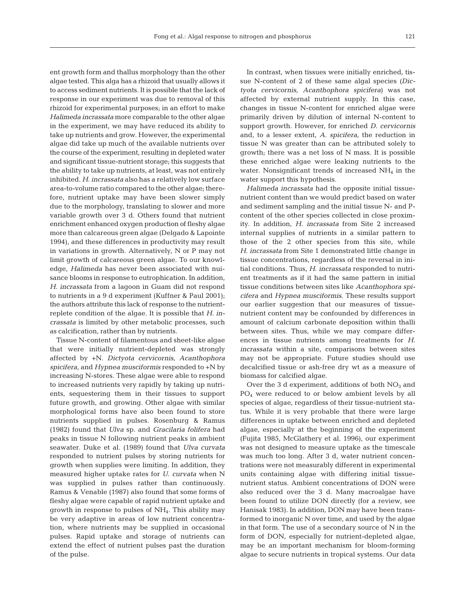ent growth form and thallus morphology than the other algae tested. This alga has a rhizoid that usually allows it to access sediment nutrients. It is possible that the lack of response in our experiment was due to removal of this rhizoid for experimental purposes; in an effort to make *Halimeda incrassata* more comparable to the other algae in the experiment, we may have reduced its ability to take up nutrients and grow. However, the experimental algae did take up much of the available nutrients over the course of the experiment, resulting in depleted water and significant tissue-nutrient storage; this suggests that the ability to take up nutrients, at least, was not entirely inhibited. *H. incrassata* also has a relatively low surface area-to-volume ratio compared to the other algae; therefore, nutrient uptake may have been slower simply due to the morphology, translating to slower and more variable growth over 3 d. Others found that nutrient enrichment enhanced oxygen production of fleshy algae more than calcareous green algae (Delgado & Lapointe 1994), and these differences in productivity may result in variations in growth. Alternatively, N or P may not limit growth of calcareous green algae. To our knowledge, *Halimeda* has never been associated with nuisance blooms in response to eutrophication. In addition, *H. incrassata* from a lagoon in Guam did not respond to nutrients in a 9 d experiment (Kuffner & Paul 2001); the authors attribute this lack of response to the nutrientreplete condition of the algae. It is possible that *H. incrassata* is limited by other metabolic processes, such as calcification, rather than by nutrients.

Tissue N-content of filamentous and sheet-like algae that were initially nutrient-depleted was strongly affected by +N. *Dictyota cervicornis*, *Acanthophora spicifera*, and *Hypnea musciformis* responded to +N by increasing N-stores. These algae were able to respond to increased nutrients very rapidly by taking up nutrients, sequestering them in their tissues to support future growth, and growing. Other algae with similar morphological forms have also been found to store nutrients supplied in pulses. Rosenburg & Ramus (1982) found that *Ulva* sp. and *Gracilaria folifera* had peaks in tissue N following nutrient peaks in ambient seawater. Duke et al. (1989) found that *Ulva curvata* responded to nutrient pulses by storing nutrients for growth when supplies were limiting. In addition, they measured higher uptake rates for *U. curvata* when N was supplied in pulses rather than continuously. Ramus & Venable (1987) also found that some forms of fleshy algae were capable of rapid nutrient uptake and growth in response to pulses of NH4. This ability may be very adaptive in areas of low nutrient concentration, where nutrients may be supplied in occasional pulses. Rapid uptake and storage of nutrients can extend the effect of nutrient pulses past the duration of the pulse.

In contrast, when tissues were initially enriched, tissue N-content of 2 of these same algal species *(Dictyota cervicornis*, *Acanthophora spicifera)* was not affected by external nutrient supply. In this case, changes in tissue N-content for enriched algae were primarily driven by dilution of internal N-content to support growth. However, for enriched *D. cervicornis* and, to a lesser extent, *A. spicifera*, the reduction in tissue N was greater than can be attributed solely to growth; there was a net loss of N mass. It is possible these enriched algae were leaking nutrients to the water. Nonsignificant trends of increased NH4 in the water support this hypothesis.

*Halimeda incrassata* had the opposite initial tissuenutrient content than we would predict based on water and sediment sampling and the initial tissue N- and Pcontent of the other species collected in close proximity. In addition, *H. incrassata* from Site 2 increased internal supplies of nutrients in a similar pattern to those of the 2 other species from this site, while *H. incrassata* from Site 1 demonstrated little change in tissue concentrations, regardless of the reversal in initial conditions. Thus, *H. incrassata* responded to nutrient treatments as if it had the same pattern in initial tissue conditions between sites like *Acanthophora spicifera* and *Hypnea musciformis*. These results support our earlier suggestion that our measures of tissuenutrient content may be confounded by differences in amount of calcium carbonate deposition within thalli between sites. Thus, while we may compare differences in tissue nutrients among treatments for *H. incrassata* within a site, comparisons between sites may not be appropriate. Future studies should use decalcified tissue or ash-free dry wt as a measure of biomass for calcified algae.

Over the 3 d experiment, additions of both  $NO<sub>3</sub>$  and  $PO<sub>4</sub>$  were reduced to or below ambient levels by all species of algae, regardless of their tissue-nutrient status. While it is very probable that there were large differences in uptake between enriched and depleted algae, especially at the beginning of the experiment (Fujita 1985, McGlathery et al. 1996), our experiment was not designed to measure uptake as the timescale was much too long. After 3 d, water nutrient concentrations were not measurably different in experimental units containing algae with differing initial tissuenutrient status. Ambient concentrations of DON were also reduced over the 3 d. Many macroalgae have been found to utilize DON directly (for a review, see Hanisak 1983). In addition, DON may have been transformed to inorganic N over time, and used by the algae in that form. The use of a secondary source of N in the form of DON, especially for nutrient-depleted algae, may be an important mechanism for bloom-forming algae to secure nutrients in tropical systems. Our data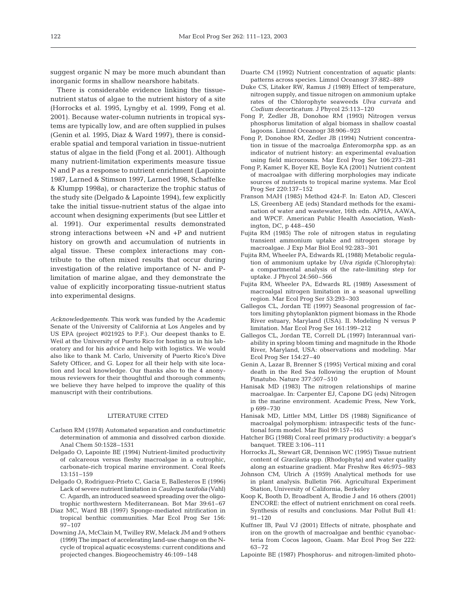suggest organic N may be more much abundant than inorganic forms in shallow nearshore habitats.

There is considerable evidence linking the tissuenutrient status of algae to the nutrient history of a site (Horrocks et al. 1995, Lyngby et al. 1999, Fong et al. 2001). Because water-column nutrients in tropical systems are typically low, and are often supplied in pulses (Genin et al. 1995, Diaz & Ward 1997), there is considerable spatial and temporal variation in tissue-nutrient status of algae in the field (Fong et al. 2001). Although many nutrient-limitation experiments measure tissue N and P as a response to nutrient enrichment (Lapointe 1987, Larned & Stimson 1997, Larned 1998, Schaffelke & Klumpp 1998a), or characterize the trophic status of the study site (Delgado & Lapointe 1994), few explicitly take the initial tissue-nutrient status of the algae into account when designing experiments (but see Littler et al. 1991). Our experimental results demonstrated strong interactions between  $+N$  and  $+P$  and nutrient history on growth and accumulation of nutrients in algal tissue. These complex interactions may contribute to the often mixed results that occur during investigation of the relative importance of N- and Plimitation of marine algae, and they demonstrate the value of explicitly incorporating tissue-nutrient status into experimental designs.

*Acknowledgements.* This work was funded by the Academic Senate of the University of California at Los Angeles and by US EPA (project #021925 to P.F.). Our deepest thanks to E. Weil at the University of Puerto Rico for hosting us in his laboratory and for his advice and help with logistics. We would also like to thank M. Carlo, University of Puerto Rico's Dive Safety Officer, and G. Lopez for all their help with site location and local knowledge. Our thanks also to the 4 anonymous reviewers for their thoughtful and thorough comments; we believe they have helped to improve the quality of this manuscript with their contributions.

## LITERATURE CITED

- Carlson RM (1978) Automated separation and conductimetric determination of ammonia and dissolved carbon dioxide. Anal Chem 50:1528–1531
- Delgado O, Lapointe BE (1994) Nutrient-limited productivity of calcareous versus fleshy macroalgae in a eutrophic, carbonate-rich tropical marine environment. Coral Reefs 13:151–159
- Delgado O, Rodriguez-Prieto C, Gacia E, Ballesteros E (1996) Lack of severe nutrient limitation in *Caulerpa taxifolia* (Vahl) C. Agardh, an introduced seaweed spreading over the oligotrophic northwestern Mediterranean. Bot Mar 39:61–67
- Diaz MC, Ward BB (1997) Sponge-mediated nitrification in tropical benthic communities. Mar Ecol Prog Ser 156: 97–107
- Downing JA, McClain M, Twilley RW, Melack JM and 9 others (1999) The impact of accelerating land-use change on the Ncycle of tropical aquatic ecosystems: current conditions and projected changes. Biogeochemistry 46:109–148
- Duarte CM (1992) Nutrient concentration of aquatic plants: patterns across species. Limnol Oceanogr 37:882–889
- Duke CS, Litaker RW, Ramus J (1989) Effect of temperature, nitrogen supply, and tissue nitrogen on ammonium uptake rates of the Chlorophyte seaweeds *Ulva curvata* and *Codium decorticatum*. J Phycol 25:113–120
- Fong P, Zedler JB, Donohoe RM (1993) Nitrogen versus phosphorus limitation of algal biomass in shallow coastal lagoons. Limnol Oceanogr 38:906–923
- Fong P, Donohoe RM, Zedler JB (1994) Nutrient concentration in tissue of the macroalga *Enteromorpha* spp. as an indicator of nutrient history: an experimental evaluation using field microcosms. Mar Ecol Prog Ser 106:273–281
- Fong P, Kamer K, Boyer KE, Boyle KA (2001) Nutrient content of macroalgae with differing morphologies may indicate sources of nutrients to tropical marine systems. Mar Ecol Prog Ser 220:137–152
- Franson MAH (1985) Method 424-F. In: Eaton AD, Clesceri LS, Greenberg AE (eds) Standard methods for the examination of water and wastewater, 16th edn. APHA, AAWA, and WPCF. American Public Health Association, Washington, DC, p 448–450
- Fujita RM (1985) The role of nitrogen status in regulating transient ammonium uptake and nitrogen storage by macroalgae. J Exp Mar Biol Ecol 92:283–301
- Fujita RM, Wheeler PA, Edwards RL (1988) Metabolic regulation of ammonium uptake by *Ulva rigida* (Chlorophyta): a compartmental analysis of the rate-limiting step for uptake. J Phycol 24:560–566
- Fujita RM, Wheeler PA, Edwards RL (1989) Assessment of macroalgal nitrogen limitation in a seasonal upwelling region. Mar Ecol Prog Ser 53:293–303
- Gallegos CL, Jordan TE (1997) Seasonal progression of factors limiting phytoplankton pigment biomass in the Rhode River estuary, Maryland (USA). II. Modeling N versus P limitation. Mar Ecol Prog Ser 161:199–212
- Gallegos CL, Jordan TE, Correll DL (1997) Interannual variability in spring bloom timing and magnitude in the Rhode River, Maryland, USA: observations and modeling. Mar Ecol Prog Ser 154:27–40
- Genin A, Lazar B, Brenner S (1995) Vertical mixing and coral death in the Red Sea following the eruption of Mount Pinatubo. Nature 377:507–510
- Hanisak MD (1983) The nitrogen relationships of marine macroalgae. In: Carpenter EJ, Capone DG (eds) Nitrogen in the marine environment. Academic Press, New York, p 699–730
- Hanisak MD, Littler MM, Littler DS (1988) Significance of macroalgal polymorphism: intraspecific tests of the functional form model. Mar Biol 99:157–165
- Hatcher BG (1988) Coral reef primary productivity: a beggar's banquet. TREE 3:106–111
- Horrocks JL, Stewart GR, Dennison WC (1995) Tissue nutrient content of *Gracilaria* spp. (Rhodophyta) and water quality along an estuarine gradient. Mar Freshw Res 46:975–983
- Johnson CM, Ulrich A (1959) Analytical methods for use in plant analysis. Bulletin 766. Agricultural Experiment Station, University of California, Berkeley
- Koop K, Booth D, Broadbent A, Brodie J and 16 others (2001) ENCORE: the effect of nutrient enrichment on coral reefs. Synthesis of results and conclusions. Mar Pollut Bull 41: 91–120
- Kuffner IB, Paul VJ (2001) Effects of nitrate, phosphate and iron on the growth of macroalgae and benthic cyanobacteria from Cocos lagoon, Guam. Mar Ecol Prog Ser 222: 63–72
- Lapointe BE (1987) Phosphorus- and nitrogen-limited photo-